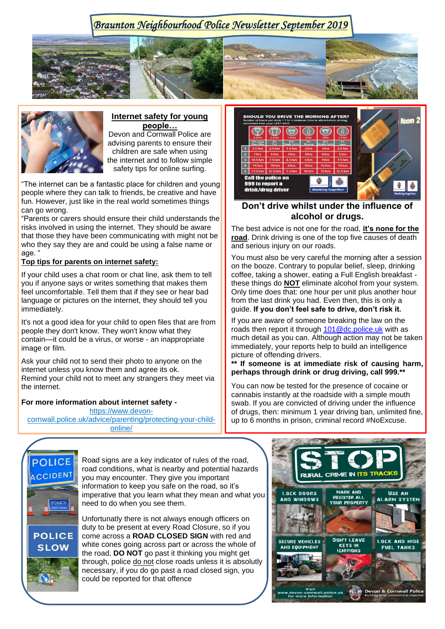# *Braunton Neighbourhood Police Newsletter September 2019*





## **Internet safety for young people…**

Devon and Cornwall Police are advising parents to ensure their children are safe when using the internet and to follow simple safety tips for online surfing.

"The internet can be a fantastic place for children and young people where they can talk to friends, be creative and have fun. However, just like in the real world sometimes things can go wrong.

"Parents or carers should ensure their child understands the risks involved in using the internet. They should be aware that those they have been communicating with might not be who they say they are and could be using a false name or age. "

### **Top tips for parents on internet safety:**

If your child uses a chat room or chat line, ask them to tell you if anyone says or writes something that makes them feel uncomfortable. Tell them that if they see or hear bad language or pictures on the internet, they should tell you immediately.

It's not a good idea for your child to open files that are from people they don't know. They won't know what they contain—it could be a virus, or worse - an inappropriate image or film.

Ask your child not to send their photo to anyone on the internet unless you know them and agree its ok. Remind your child not to meet any strangers they meet via the internet.

#### **For more information about internet safety -**

[https://www.devon](https://www.devon-cornwall.police.uk/advice/parenting/protecting-your-child-online/)[cornwall.police.uk/advice/parenting/protecting-your-child](https://www.devon-cornwall.police.uk/advice/parenting/protecting-your-child-online/)[online/](https://www.devon-cornwall.police.uk/advice/parenting/protecting-your-child-online/)



## **Don't drive whilst under the influence of alcohol or drugs.**

The best advice is not one for the road, **it's none for the road**. Drink driving is one of the top five causes of death and serious injury on our roads.

You must also be very careful the morning after a session on the booze. Contrary to popular belief, sleep, drinking coffee, taking a shower, eating a Full English breakfast these things do **NOT** eliminate alcohol from your system. Only time does that: one hour per unit plus another hour from the last drink you had. Even then, this is only a guide. **If you don't feel safe to drive, don't risk it.**

If you are aware of someone breaking the law on the roads then report it through [101@dc.police.uk](mailto:101@dc.police.uk) with as much detail as you can. Although action may not be taken immediately, your reports help to build an intelligence picture of offending drivers.

**\*\* If someone is at immediate risk of causing harm, perhaps through drink or drug driving, call 999.\*\***

You can now be tested for the presence of cocaine or cannabis instantly at the roadside with a simple mouth swab. If you are convicted of driving under the influence of drugs, then: minimum 1 year driving ban, unlimited fine, up to 6 months in prison, criminal record #NoExcuse.



Road signs are a key indicator of rules of the road, road conditions, what is nearby and potential hazards you may encounter. They give you important information to keep you safe on the road, so it's imperative that you learn what they mean and what you need to do when you see them.

Unfortunatly there is not always enough officers on duty to be present at every Road Closure, so if you come across a **ROAD CLOSED SIGN** with red and white cones going across part or across the whole of the road, **DO NOT** go past it thinking you might get through, police do not close roads unless it is absolutly necessary, if you do go past a road closed sign, you could be reported for that offence